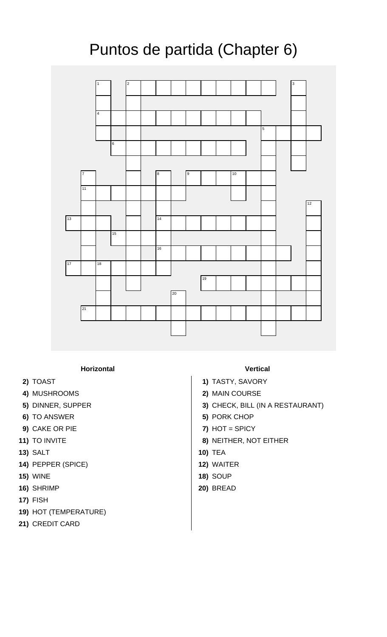## Puntos de partida (Chapter 6)



**Horizontal Vertical**

- 
- 
- 
- **6)** TO ANSWER **5)** PORK CHOP
- 
- 
- **13)** SALT **10)** TEA
- **14)** PEPPER (SPICE) **12)** WAITER
- **15)** WINE **18)** SOUP
- **16)** SHRIMP **20)** BREAD
- **17)** FISH
- **19)** HOT (TEMPERATURE)
- **21)** CREDIT CARD

- **2)** TOAST **1)** TASTY, SAVORY
- **4)** MUSHROOMS **2)** MAIN COURSE
- **5)** DINNER, SUPPER **3)** CHECK, BILL (IN A RESTAURANT)
	-
- **9)** CAKE OR PIE **7)** HOT = SPICY
- **11)** TO INVITE **8)** NEITHER, NOT EITHER
	-
	-
	-
	-